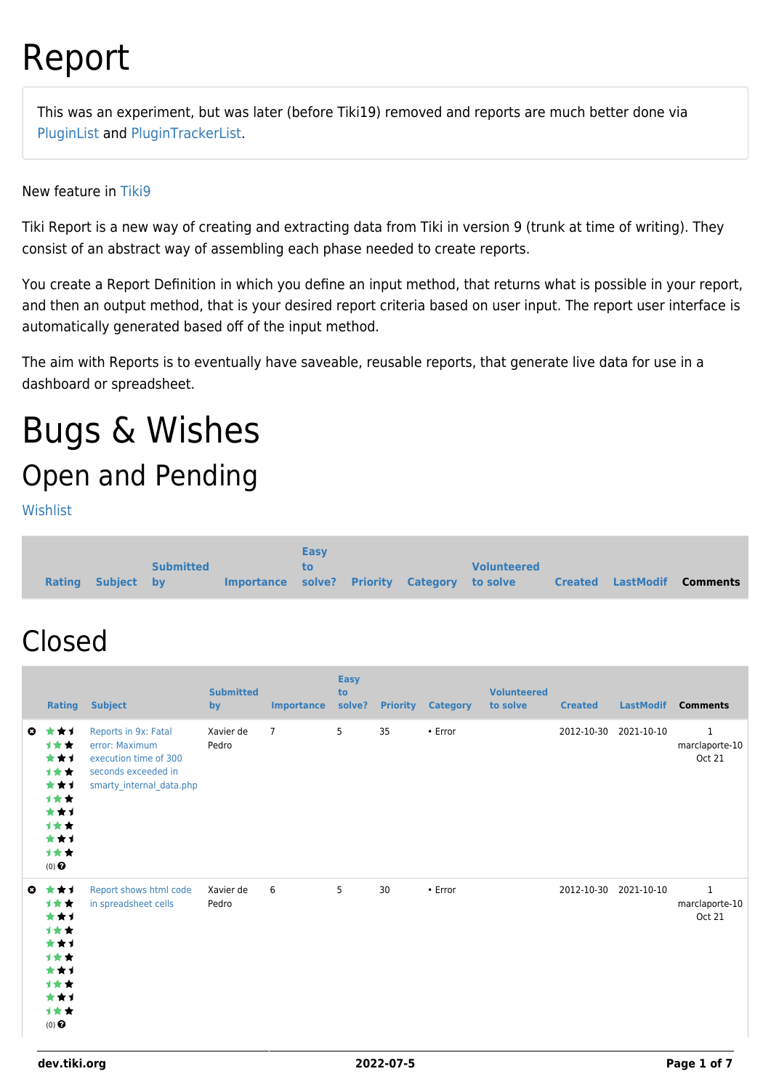# Report

This was an experiment, but was later (before Tiki19) removed and reports are much better done via [PluginList](http://doc.tiki.org/PluginList) and [PluginTrackerList](http://doc.tiki.org/PluginTrackerList).

New feature in [Tiki9](https://dev.tiki.org/Tiki9)

Tiki Report is a new way of creating and extracting data from Tiki in version 9 (trunk at time of writing). They consist of an abstract way of assembling each phase needed to create reports.

You create a Report Definition in which you define an input method, that returns what is possible in your report, and then an output method, that is your desired report criteria based on user input. The report user interface is automatically generated based off of the input method.

The aim with Reports is to eventually have saveable, reusable reports, that generate live data for use in a dashboard or spreadsheet.

# Bugs & Wishes Open and Pending

[Wishlist](https://dev.tiki.org/Wishlist)

|               |            |                  |                                              | <b>Easy</b> |  |                    |                          |                 |
|---------------|------------|------------------|----------------------------------------------|-------------|--|--------------------|--------------------------|-----------------|
|               |            | <b>Submitted</b> |                                              | to.         |  | <b>Volunteered</b> |                          |                 |
| <b>Rating</b> | Subject by |                  | Importance solve? Priority Category to solve |             |  |                    | <b>Created LastModif</b> | <b>Comments</b> |

#### Closed

|           | Rating                                                                              | <b>Subject</b>                                                                                                     | <b>Submitted</b><br>by | <b>Importance</b> | <b>Easy</b><br>to<br>solve? | <b>Priority</b> | <b>Category</b> | <b>Volunteered</b><br>to solve | <b>Created</b> | <b>LastModif</b> | <b>Comments</b>                                 |
|-----------|-------------------------------------------------------------------------------------|--------------------------------------------------------------------------------------------------------------------|------------------------|-------------------|-----------------------------|-----------------|-----------------|--------------------------------|----------------|------------------|-------------------------------------------------|
| $\bullet$ | ***<br>***<br>***<br>1★★<br>***<br>计女女<br>***<br>1女女<br>***<br>计女女<br>$(0)$ $\odot$ | Reports in 9x: Fatal<br>error: Maximum<br>execution time of 300<br>seconds exceeded in<br>smarty_internal_data.php | Xavier de<br>Pedro     | $\overline{7}$    | 5                           | 35              | $\cdot$ Error   |                                | 2012-10-30     | 2021-10-10       | $\mathbf{1}$<br>marclaporte-10<br><b>Oct 21</b> |
| $\bullet$ | ***<br>计女女<br>***<br>1**<br>***<br>1★★<br>***<br>计女女<br>***<br>计女女<br>$(0)$ $\odot$ | Report shows html code<br>in spreadsheet cells                                                                     | Xavier de<br>Pedro     | 6                 | 5                           | 30              | $\cdot$ Error   |                                | 2012-10-30     | 2021-10-10       | $\mathbf{1}$<br>marclaporte-10<br><b>Oct 21</b> |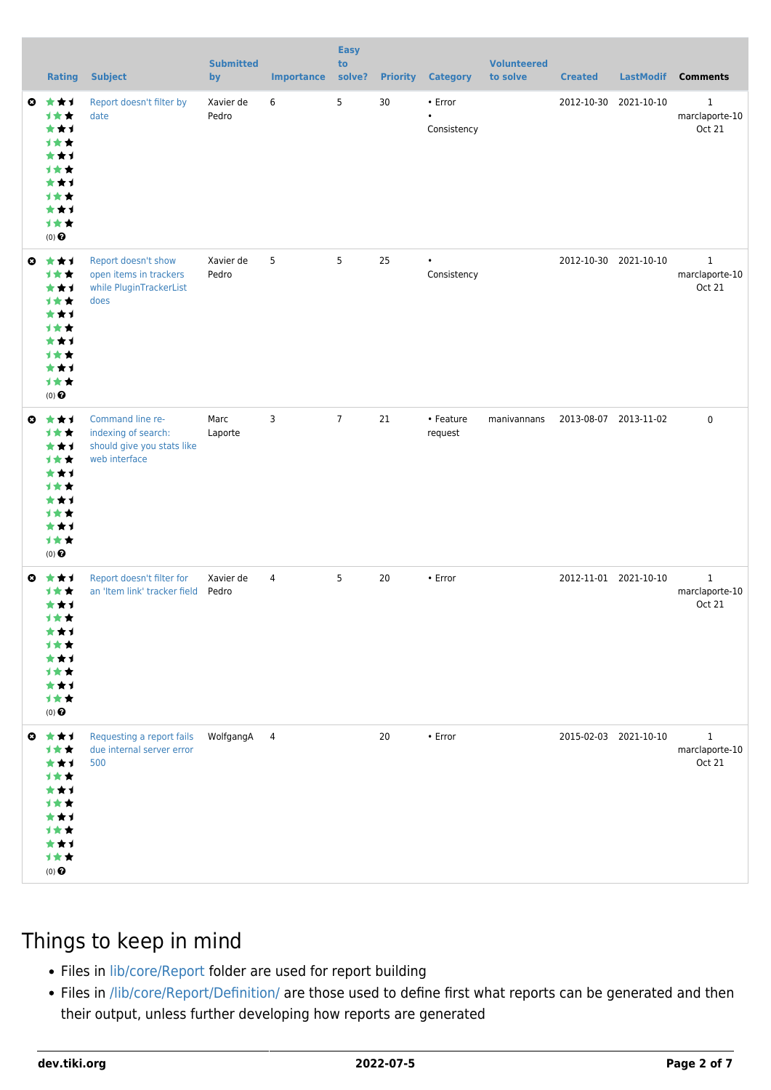|              | <b>Rating</b>                                                                                              | <b>Subject</b>                                                                         | <b>Submitted</b><br>by | <b>Importance</b> | <b>Easy</b><br>to<br>solve? |    | <b>Priority Category</b>            | <b>Volunteered</b><br>to solve | <b>Created</b> | <b>LastModif</b>      | <b>Comments</b>                          |
|--------------|------------------------------------------------------------------------------------------------------------|----------------------------------------------------------------------------------------|------------------------|-------------------|-----------------------------|----|-------------------------------------|--------------------------------|----------------|-----------------------|------------------------------------------|
| $\mathbf{c}$ | ***<br>1★★<br>★★1<br><b>1**</b><br>***<br><b>1**</b><br>***<br><b>1**</b><br>***<br>1★★<br>$(0)$ $\odot$   | Report doesn't filter by<br>date                                                       | Xavier de<br>Pedro     | 6                 | 5                           | 30 | • Error<br>$\bullet$<br>Consistency |                                |                | 2012-10-30 2021-10-10 | 1<br>marclaporte-10<br>Oct 21            |
| $\bullet$    | ***<br>1★★<br>***<br><b>1★★</b><br>***<br><b>1**</b><br>**1<br><b>1**</b><br>***<br>计女女<br>$(0)$ $\odot$   | Report doesn't show<br>open items in trackers<br>while PluginTrackerList<br>does       | Xavier de<br>Pedro     | 5                 | 5                           | 25 | $\bullet$<br>Consistency            |                                |                | 2012-10-30 2021-10-10 | $\mathbf{1}$<br>marclaporte-10<br>Oct 21 |
| O            | ***<br>1★★<br>***<br><b>1**</b><br>***<br><b>1**</b><br>***<br><b>1**</b><br>***<br>1★★<br>$(0)$ $\odot$   | Command line re-<br>indexing of search:<br>should give you stats like<br>web interface | Marc<br>Laporte        | 3                 | $\overline{7}$              | 21 | • Feature<br>request                | manivannans                    |                | 2013-08-07 2013-11-02 | 0                                        |
| O            | ***<br>1**<br>***<br>计女女<br>★★↑<br>1 R<br>***<br>计女女<br>***<br>计女女<br>$(0)$ $\Theta$                       | Report doesn't filter for<br>an 'Item link' tracker field                              | Xavier de<br>Pedro     | 4                 | 5                           | 20 | • Error                             |                                |                | 2012-11-01 2021-10-10 | $\mathbf{1}$<br>marclaporte-10<br>Oct 21 |
|              | ◎ ★★1<br>1★★<br>***<br><b>1**</b><br>★★↑<br><b>1**</b><br>***<br><b>1★★</b><br>***<br>计女女<br>$(0)$ $\odot$ | Requesting a report fails<br>due internal server error<br>500                          | WolfgangA              | $\overline{4}$    |                             | 20 | $\cdot$ Error                       |                                |                | 2015-02-03 2021-10-10 | $\mathbf{1}$<br>marclaporte-10<br>Oct 21 |

#### Things to keep in mind

- Files in [lib/core/Report](http://tikiwiki.svn.sourceforge.net/viewvc/tikiwiki/trunk/lib/core/Report/) folder are used for report building
- Files in [/lib/core/Report/Definition/](http://tikiwiki.svn.sourceforge.net/viewvc/tikiwiki/trunk/lib/core/Report/Definition/) are those used to define first what reports can be generated and then their output, unless further developing how reports are generated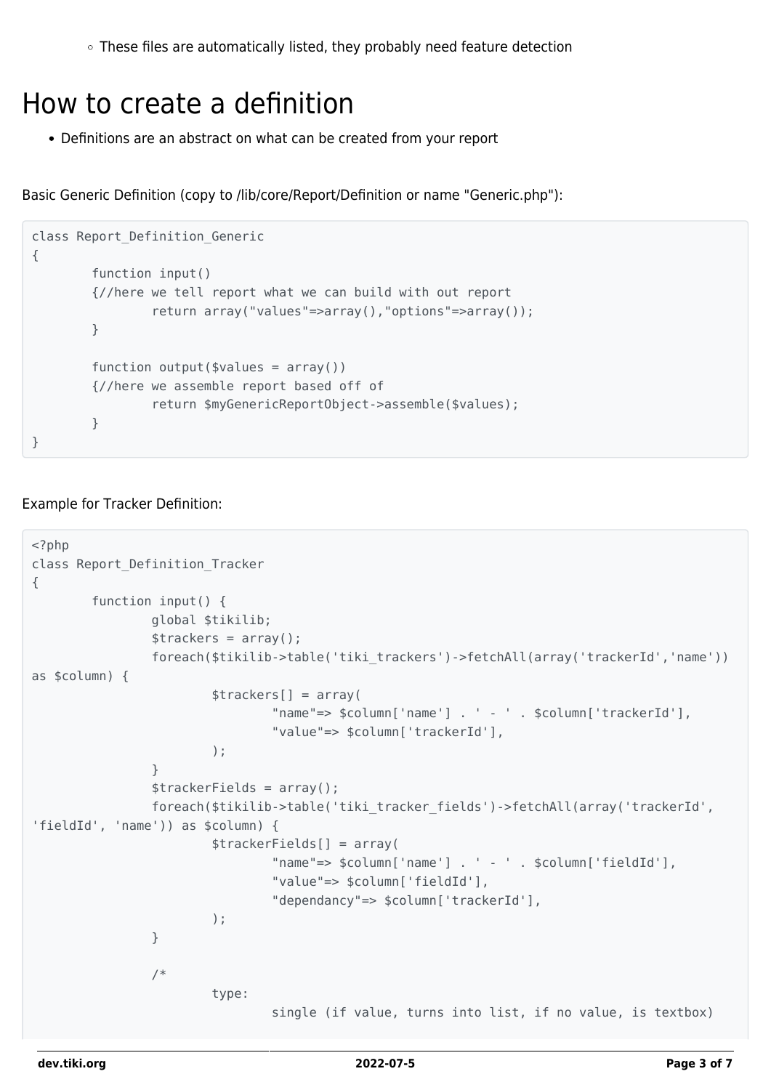$\circ$  These files are automatically listed, they probably need feature detection

#### How to create a definition

Definitions are an abstract on what can be created from your report

Basic Generic Definition (copy to /lib/core/Report/Definition or name "Generic.php"):

```
class Report_Definition_Generic
{
         function input()
         {//here we tell report what we can build with out report
                 return array("values"=>array(),"options"=>array());
         }
        function output($values = array())
         {//here we assemble report based off of
                 return $myGenericReportObject->assemble($values);
         }
}
```
#### Example for Tracker Definition:

```
<?php
class Report_Definition_Tracker
{
        function input() {
                global $tikilib;
               \frac{1}{2} strackers = array();
                foreach($tikilib->table('tiki_trackers')->fetchAll(array('trackerId','name'))
as $column) {
                        $trackers[] = array(
                                "name"=> $column['name'] . ' - ' . $column['trackerId'],
                                "value"=> $column['trackerId'],
); \hspace{0.1cm} }
               $traceFields = array();
                foreach($tikilib->table('tiki_tracker_fields')->fetchAll(array('trackerId',
'fieldId', 'name')) as $column) {
                        $trackerFields[] = array(
                                "name"=> $column['name'] . ' - ' . $column['fieldId'],
                                "value"=> $column['fieldId'],
                                "dependancy"=> $column['trackerId'],
); \hspace{0.1cm} }
                /*
                        type:
                                single (if value, turns into list, if no value, is textbox)
```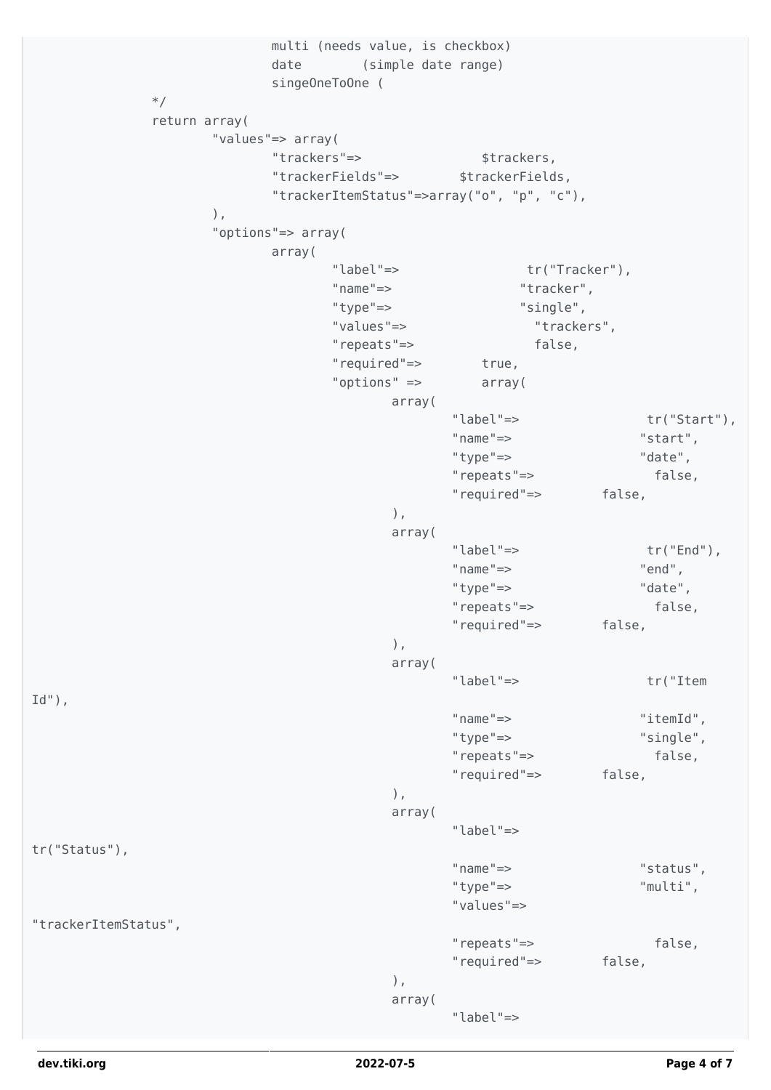```
 multi (needs value, is checkbox)
                     date (simple date range)
                     singeOneToOne (
*/
           return array(
                "values"=> array(
                    "trackers"=> $trackers,
                     "trackerFields"=> $trackerFields,
                      "trackerItemStatus"=>array("o", "p", "c"),
), the same state \int, the same state \int, the same state \int "options"=> array(
                     array(
                           "label"=> tr("Tracker"),
                           "name"=> "tracker",
                           "type"=> "single",
                           "values"=> "trackers",
                           "repeats"=> false,
                           "required"=> true,
                           "options" => array(
                                array(
                                     "label"=> tr("Start"),
 "name"=> "start",
                                     "type"=> "date",
                                     "repeats"=> false,
                                     "required"=> false,
\left( \begin{array}{c} 1 \end{array} \right) array(
                                     "label"=> tr("End"),
                                     "name"=> "end",
                                     "type"=> "date",
                                     "repeats"=> false,
                                     "required"=> false,
\left( \begin{array}{c} 1 \end{array} \right) array(
                                     "label"=> tr("Item
Id''),
 "name"=> "itemId",
 "type"=> "single",
                                     "repeats"=> false,
                                     "required"=> false,
\left( \begin{array}{c} 1 \end{array} \right) array(
                                     "label"=>
tr("Status"),
 "name"=> "status",
 "type"=> "multi",
                                     "values"=>
"trackerItemStatus",
                                     "repeats"=> false,
                                     "required"=> false,
\left( \begin{array}{c} 1 \end{array} \right) array(
                                     "label"=>
```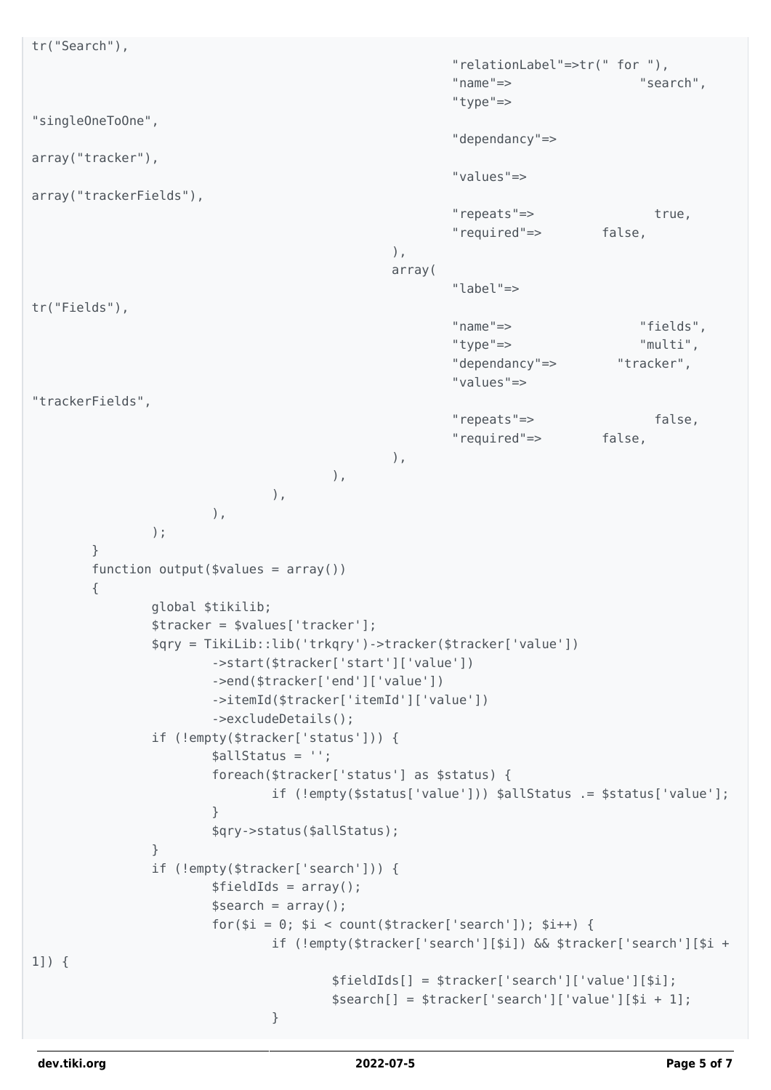```
tr("Search"),
                                              "relationLabel"=>tr(" for "),
 "name"=> "search",
                                              "type"=>
"singleOneToOne",
                                              "dependancy"=>
array("tracker"),
                                              "values"=>
array("trackerFields"),
                                              "repeats"=> true,
                                              "required"=> false,
\left( \begin{array}{c} 1 \end{array} \right) array(
                                              "label"=>
tr("Fields"),
 "name"=> "fields",
 "type"=> "multi",
                                              "dependancy"=> "tracker",
                                              "values"=>
"trackerFields",
                                              "repeats"=> false,
                                              "required"=> false,
\left( \begin{array}{c} 1 \end{array} \right)), the contract of \mathcal{L}\, ), \,), \overline{\phantom{a}} );
       }
      function output($values = array())
       {
              global $tikilib;
              $tracker = $values['tracker'];
              $qry = TikiLib::lib('trkqry')->tracker($tracker['value'])
                    ->start($tracker['start']['value'])
                    ->end($tracker['end']['value'])
                    ->itemId($tracker['itemId']['value'])
                    ->excludeDetails();
              if (!empty($tracker['status'])) {
                    $allStatus = '';
                    foreach($tracker['status'] as $status) {
                           if (!empty($status['value'])) $allStatus .= $status['value'];
 }
                    $qry->status($allStatus);
 }
              if (!empty($tracker['search'])) {
                   $fieldIds = array();
                   $search = array();
                   for(\hat{ }i = 0; \hat{ }i < count(\hat{ }trace['search']); \hat{ }i++) {
                           if (!empty($tracker['search'][$i]) && $tracker['search'][$i +
1]) {
                                 $fieldIds[] = $tracker['search']['value'][$i];
                                 $search[] = $tracker['search']['value'][$i + 1];
 }
```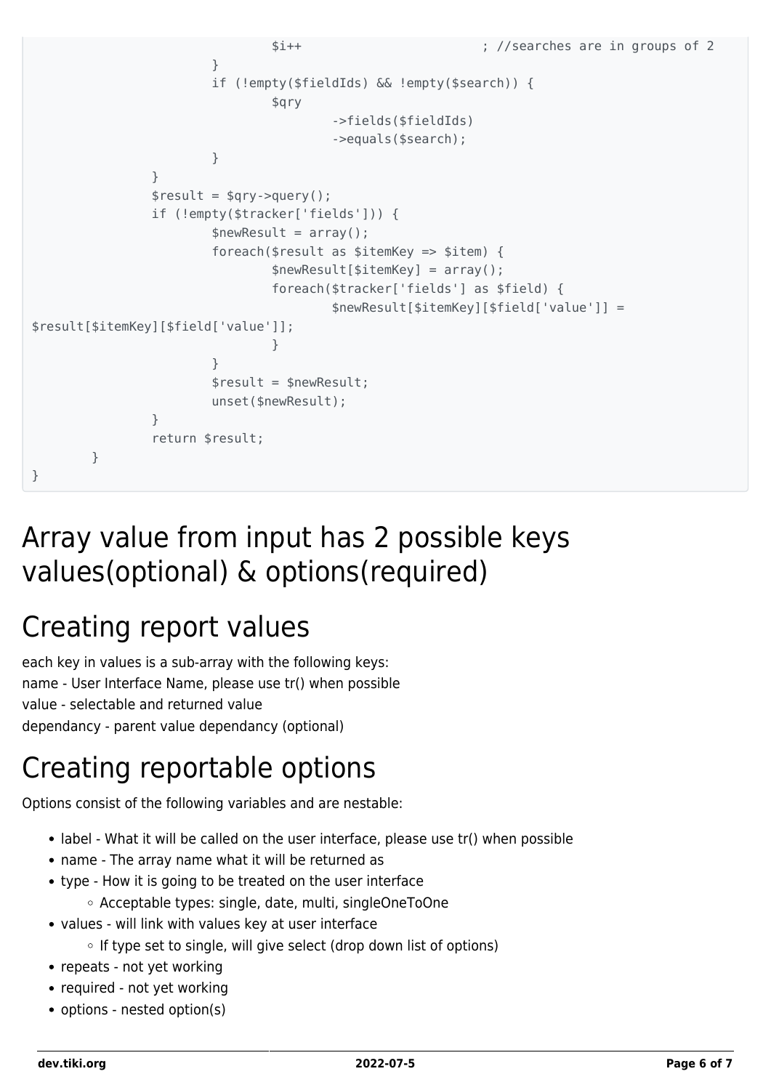```
 $i++ ; //searches are in groups of 2
 }
                    if (!empty($fieldIds) && !empty($search)) {
                          $qry
                                 ->fields($fieldIds)
                                 ->equals($search);
 }
 }
            $result = $qry->query();
             if (!empty($tracker['fields'])) {
                   $newResult = array(); foreach($result as $itemKey => $item) {
                          $newResult[$itemKey] = array();
                          foreach($tracker['fields'] as $field) {
                                 $newResult[$itemKey][$field['value']] =
$result[$itemKey][$field['value']];
 }
 }
                    $result = $newResult;
                    unset($newResult);
 }
             return $result;
       }
}
```
### Array value from input has 2 possible keys values(optional) & options(required)

## Creating report values

each key in values is a sub-array with the following keys: name - User Interface Name, please use tr() when possible value - selectable and returned value dependancy - parent value dependancy (optional)

## Creating reportable options

Options consist of the following variables and are nestable:

- label What it will be called on the user interface, please use tr() when possible
- name The array name what it will be returned as
- type How it is going to be treated on the user interface
	- Acceptable types: single, date, multi, singleOneToOne
- values will link with values key at user interface
	- $\circ$  If type set to single, will give select (drop down list of options)
- repeats not yet working
- required not yet working
- options nested option(s)